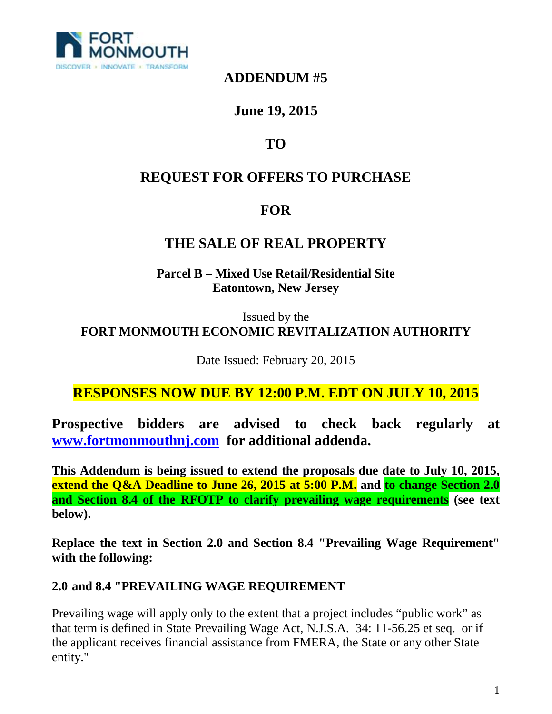

### **ADDENDUM #5**

## **June 19, 2015**

# **TO**

## **REQUEST FOR OFFERS TO PURCHASE**

## **FOR**

### **THE SALE OF REAL PROPERTY**

**Parcel B – Mixed Use Retail/Residential Site Eatontown, New Jersey**

Issued by the **FORT MONMOUTH ECONOMIC REVITALIZATION AUTHORITY**

Date Issued: February 20, 2015

### **RESPONSES NOW DUE BY 12:00 P.M. EDT ON JULY 10, 2015**

**Prospective bidders are advised to check back regularly at www.fortmonmouthnj.com for additional addenda.** 

**This Addendum is being issued to extend the proposals due date to July 10, 2015, extend the Q&A Deadline to June 26, 2015 at 5:00 P.M. and to change Section 2.0 and Section 8.4 of the RFOTP to clarify prevailing wage requirements (see text below).**

**Replace the text in Section 2.0 and Section 8.4 "Prevailing Wage Requirement" with the following:**

#### **2.0 and 8.4 "PREVAILING WAGE REQUIREMENT**

Prevailing wage will apply only to the extent that a project includes "public work" as that term is defined in State Prevailing Wage Act, N.J.S.A. 34: 11-56.25 et seq. or if the applicant receives financial assistance from FMERA, the State or any other State entity."